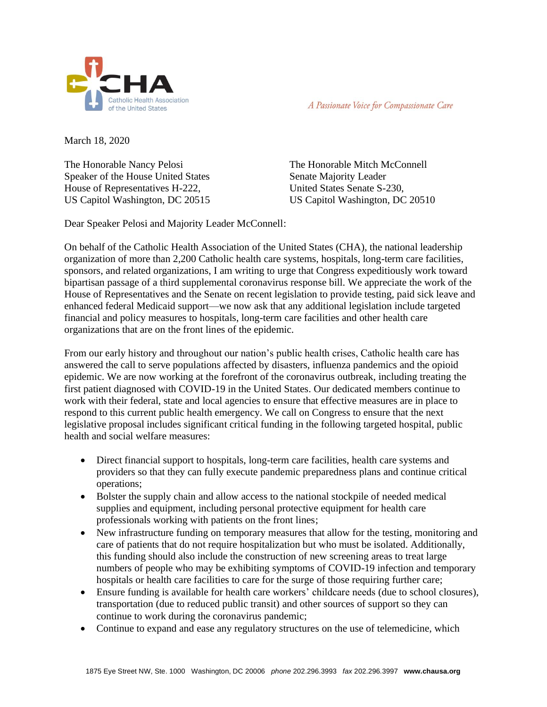

A Passionate Voice for Compassionate Care

March 18, 2020

The Honorable Nancy Pelosi Speaker of the House United States House of Representatives H-222, US Capitol Washington, DC 20515

The Honorable Mitch McConnell Senate Majority Leader United States Senate S-230, US Capitol Washington, DC 20510

Dear Speaker Pelosi and Majority Leader McConnell:

On behalf of the Catholic Health Association of the United States (CHA), the national leadership organization of more than 2,200 Catholic health care systems, hospitals, long-term care facilities, sponsors, and related organizations, I am writing to urge that Congress expeditiously work toward bipartisan passage of a third supplemental coronavirus response bill. We appreciate the work of the House of Representatives and the Senate on recent legislation to provide testing, paid sick leave and enhanced federal Medicaid support—we now ask that any additional legislation include targeted financial and policy measures to hospitals, long-term care facilities and other health care organizations that are on the front lines of the epidemic.

From our early history and throughout our nation's public health crises, Catholic health care has answered the call to serve populations affected by disasters, influenza pandemics and the opioid epidemic. We are now working at the forefront of the coronavirus outbreak, including treating the first patient diagnosed with COVID-19 in the United States. Our dedicated members continue to work with their federal, state and local agencies to ensure that effective measures are in place to respond to this current public health emergency. We call on Congress to ensure that the next legislative proposal includes significant critical funding in the following targeted hospital, public health and social welfare measures:

- Direct financial support to hospitals, long-term care facilities, health care systems and providers so that they can fully execute pandemic preparedness plans and continue critical operations;
- Bolster the supply chain and allow access to the national stockpile of needed medical supplies and equipment, including personal protective equipment for health care professionals working with patients on the front lines;
- New infrastructure funding on temporary measures that allow for the testing, monitoring and care of patients that do not require hospitalization but who must be isolated. Additionally, this funding should also include the construction of new screening areas to treat large numbers of people who may be exhibiting symptoms of COVID-19 infection and temporary hospitals or health care facilities to care for the surge of those requiring further care;
- Ensure funding is available for health care workers' childcare needs (due to school closures), transportation (due to reduced public transit) and other sources of support so they can continue to work during the coronavirus pandemic;
- Continue to expand and ease any regulatory structures on the use of telemedicine, which